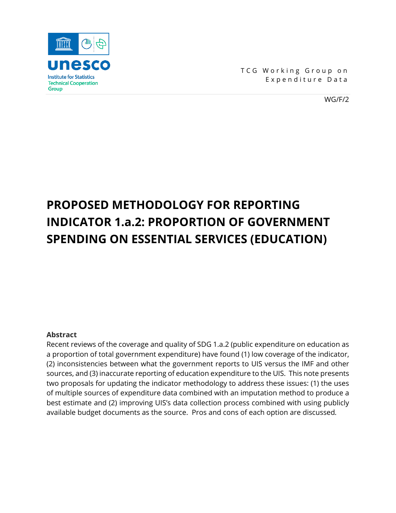

TCG Working Group on Expenditure Data

WG/F/2

# **PROPOSED METHODOLOGY FOR REPORTING INDICATOR 1.a.2: PROPORTION OF GOVERNMENT SPENDING ON ESSENTIAL SERVICES (EDUCATION)**

## **Abstract**

Recent reviews of the coverage and quality of SDG 1.a.2 (public expenditure on education as a proportion of total government expenditure) have found (1) low coverage of the indicator, (2) inconsistencies between what the government reports to UIS versus the IMF and other sources, and (3) inaccurate reporting of education expenditure to the UIS. This note presents two proposals for updating the indicator methodology to address these issues: (1) the uses of multiple sources of expenditure data combined with an imputation method to produce a best estimate and (2) improving UIS's data collection process combined with using publicly available budget documents as the source. Pros and cons of each option are discussed*.*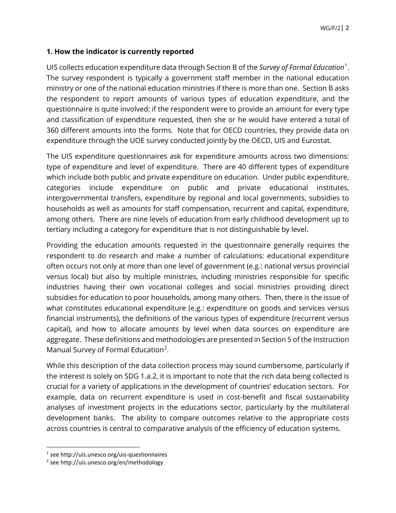# **1. How the indicator is currently reported**

UIS collects education expenditure data through Section B of the *Survey of Formal Education*<sup>[1](#page-1-0)</sup>. The survey respondent is typically a government staff member in the national education ministry or one of the national education ministries if there is more than one. Section B asks the respondent to report amounts of various types of education expenditure, and the questionnaire is quite involved: if the respondent were to provide an amount for every type and classification of expenditure requested, then she or he would have entered a total of 360 different amounts into the forms. Note that for OECD countries, they provide data on expenditure through the UOE survey conducted jointly by the OECD, UIS and Eurostat.

The UIS expenditure questionnaires ask for expenditure amounts across two dimensions: type of expenditure and level of expenditure. There are 40 different types of expenditure which include both public and private expenditure on education. Under public expenditure, categories include expenditure on public and private educational institutes, intergovernmental transfers, expenditure by regional and local governments, subsidies to households as well as amounts for staff compensation, recurrent and capital, expenditure, among others. There are nine levels of education from early childhood development up to tertiary including a category for expenditure that is not distinguishable by level.

Providing the education amounts requested in the questionnaire generally requires the respondent to do research and make a number of calculations: educational expenditure often occurs not only at more than one level of government (e.g.: national versus provincial versus local) but also by multiple ministries, including ministries responsible for specific industries having their own vocational colleges and social ministries providing direct subsidies for education to poor households, among many others. Then, there is the issue of what constitutes educational expenditure (e.g.: expenditure on goods and services versus financial instruments), the definitions of the various types of expenditure (recurrent versus capital), and how to allocate amounts by level when data sources on expenditure are aggregate. These definitions and methodologies are presented in Section 5 of the Instruction Manual Survey of Formal Education<sup>[2](#page-1-1)</sup>.

While this description of the data collection process may sound cumbersome, particularly if the interest is solely on SDG 1.a.2, it is important to note that the rich data being collected is crucial for a variety of applications in the development of countries' education sectors. For example, data on recurrent expenditure is used in cost-benefit and fiscal sustainability analyses of investment projects in the educations sector, particularly by the multilateral development banks. The ability to compare outcomes relative to the appropriate costs across countries is central to comparative analysis of the efficiency of education systems.

<span id="page-1-0"></span><sup>1</sup> see http://uis.unesco.org/uis-questionnaires

<span id="page-1-1"></span><sup>2</sup> see http://uis.unesco.org/en/methodology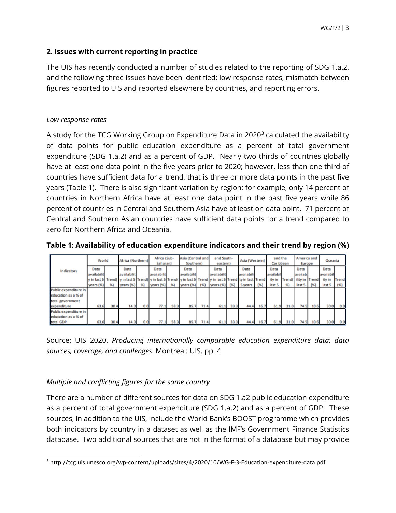# **2. Issues with current reporting in practice**

The UIS has recently conducted a number of studies related to the reporting of SDG 1.a.2, and the following three issues have been identified: low response rates, mismatch between figures reported to UIS and reported elsewhere by countries, and reporting errors.

#### *Low response rates*

A study for the TCG Working Group on Expenditure Data in 2020 $3$  calculated the availability of data points for public education expenditure as a percent of total government expenditure (SDG 1.a.2) and as a percent of GDP. Nearly two thirds of countries globally have at least one data point in the five years prior to 2020; however, less than one third of countries have sufficient data for a trend, that is three or more data points in the past five years (Table 1). There is also significant variation by region; for example, only 14 percent of countries in Northern Africa have at least one data point in the past five years while 86 percent of countries in Central and Southern Asia have at least on data point. 71 percent of Central and Southern Asian countries have sufficient data points for a trend compared to zero for Northern Africa and Oceania.

**Table 1: Availability of education expenditure indicators and their trend by region (%)**

|                       | World       |      | Africa (Northern)                                                                                                                 |     | Africa (Sub-<br>Saharan) |      | Asia (Central and<br>Southern) |      | and South-<br>eastern) |      | Asia (Western) |      | and the<br>Caribbean |      | America and<br>Europe  |      | Oceania   |       |
|-----------------------|-------------|------|-----------------------------------------------------------------------------------------------------------------------------------|-----|--------------------------|------|--------------------------------|------|------------------------|------|----------------|------|----------------------|------|------------------------|------|-----------|-------|
| Indicators            | Data        |      | Data                                                                                                                              |     | Data                     |      | Data                           |      | Data                   |      | Data           |      | Data                 |      | Data                   |      | Data      |       |
|                       | availabilit |      | availabilit                                                                                                                       |     | availabilit              |      | availabilit                    |      | availabilit            |      | availabili     |      | availabil            |      | availab                |      | availabil |       |
|                       |             |      | y in last 5   Trend(   y in last 5   Trend(   y in last 5   Trend(   y in last 5   Trend   y in last 5   Trend   ty in last Trend |     |                          |      |                                |      |                        |      |                |      | ity in               |      | Trend( ility in Trend) |      | ity in    | Trend |
|                       | years (%)   |      | years (%)                                                                                                                         | 96) | years (%)                | %)   | years (%) (%)                  |      | years (%) (%)          |      | 5 years        | (96) | last 5               | 96)  | last 5                 | (96) | last 5    | (96)  |
| Public expenditure in |             |      |                                                                                                                                   |     |                          |      |                                |      |                        |      |                |      |                      |      |                        |      |           |       |
| education as a % of   |             |      |                                                                                                                                   |     |                          |      |                                |      |                        |      |                |      |                      |      |                        |      |           |       |
| total government      |             |      |                                                                                                                                   |     |                          |      |                                |      |                        |      |                |      |                      |      |                        |      |           |       |
| expenditure           | 63.6        | 30.4 | 14.3                                                                                                                              | 0.0 | 77.1                     | 58.3 | 85.7                           | 71.4 | 61.1                   | 33.3 | 44.4           | 16.7 | 61.9                 | 31.0 | 74.5                   | 10.6 | 30.0      | 0.0   |
| Public expenditure in |             |      |                                                                                                                                   |     |                          |      |                                |      |                        |      |                |      |                      |      |                        |      |           |       |
| education as a % of   |             |      |                                                                                                                                   |     |                          |      |                                |      |                        |      |                |      |                      |      |                        |      |           |       |
| total GDP             | 63.6        | 30.4 | 14.3                                                                                                                              | 0.0 | 77.1                     | 58.3 | 85.7                           | 71.4 | 61.1                   | 33.3 | 44.4           | 16.7 | 61.9                 | 31.0 | 74.5                   | 10.6 | 30.0      | 0.0   |

Source: UIS 2020. *Producing internationally comparable education expenditure data: data sources, coverage, and challenges*. Montreal: UIS. pp. 4

## *Multiple and conflicting figures for the same country*

There are a number of different sources for data on SDG 1.a2 public education expenditure as a percent of total government expenditure (SDG 1.a.2) and as a percent of GDP. These sources, in addition to the UIS, include the World Bank's BOOST programme which provides both indicators by country in a dataset as well as the IMF's Government Finance Statistics database. Two additional sources that are not in the format of a database but may provide

<span id="page-2-0"></span><sup>3</sup> http://tcg.uis.unesco.org/wp-content/uploads/sites/4/2020/10/WG-F-3-Education-expenditure-data.pdf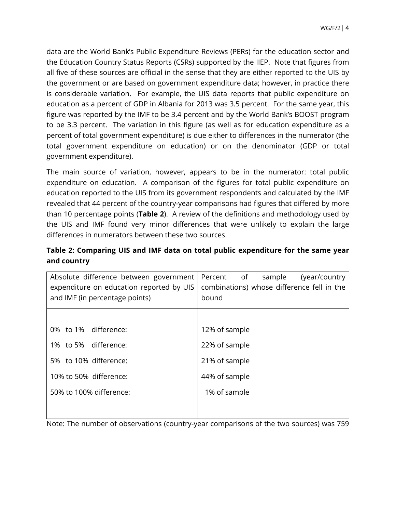data are the World Bank's Public Expenditure Reviews (PERs) for the education sector and the Education Country Status Reports (CSRs) supported by the IIEP. Note that figures from all five of these sources are official in the sense that they are either reported to the UIS by the government or are based on government expenditure data; however, in practice there is considerable variation. For example, the UIS data reports that public expenditure on education as a percent of GDP in Albania for 2013 was 3.5 percent. For the same year, this figure was reported by the IMF to be 3.4 percent and by the World Bank's BOOST program to be 3.3 percent. The variation in this figure (as well as for education expenditure as a percent of total government expenditure) is due either to differences in the numerator (the total government expenditure on education) or on the denominator (GDP or total government expenditure).

The main source of variation, however, appears to be in the numerator: total public expenditure on education. A comparison of the figures for total public expenditure on education reported to the UIS from its government respondents and calculated by the IMF revealed that 44 percent of the country-year comparisons had figures that differed by more than 10 percentage points (**Table 2**). A review of the definitions and methodology used by the UIS and IMF found very minor differences that were unlikely to explain the large differences in numerators between these two sources.

| Table 2: Comparing UIS and IMF data on total public expenditure for the same year |  |  |
|-----------------------------------------------------------------------------------|--|--|
| and country                                                                       |  |  |

| Absolute difference between government<br>expenditure on education reported by UIS<br>and IMF (in percentage points) | of<br>Percent<br>sample<br>(year/country)<br>combinations) whose difference fell in the<br>bound |  |  |  |  |  |
|----------------------------------------------------------------------------------------------------------------------|--------------------------------------------------------------------------------------------------|--|--|--|--|--|
|                                                                                                                      |                                                                                                  |  |  |  |  |  |
| 0% to 1% difference:                                                                                                 | 12% of sample                                                                                    |  |  |  |  |  |
| 1% to 5% difference:                                                                                                 | 22% of sample                                                                                    |  |  |  |  |  |
| 5% to 10% difference:                                                                                                | 21% of sample                                                                                    |  |  |  |  |  |
| 10% to 50% difference:                                                                                               | 44% of sample                                                                                    |  |  |  |  |  |
| 50% to 100% difference:                                                                                              | 1% of sample                                                                                     |  |  |  |  |  |
|                                                                                                                      |                                                                                                  |  |  |  |  |  |

Note: The number of observations (country-year comparisons of the two sources) was 759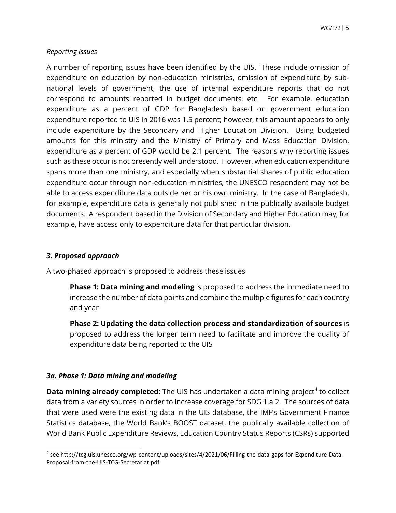## *Reporting issues*

A number of reporting issues have been identified by the UIS. These include omission of expenditure on education by non-education ministries, omission of expenditure by subnational levels of government, the use of internal expenditure reports that do not correspond to amounts reported in budget documents, etc. For example, education expenditure as a percent of GDP for Bangladesh based on government education expenditure reported to UIS in 2016 was 1.5 percent; however, this amount appears to only include expenditure by the Secondary and Higher Education Division. Using budgeted amounts for this ministry and the Ministry of Primary and Mass Education Division, expenditure as a percent of GDP would be 2.1 percent. The reasons why reporting issues such as these occur is not presently well understood. However, when education expenditure spans more than one ministry, and especially when substantial shares of public education expenditure occur through non-education ministries, the UNESCO respondent may not be able to access expenditure data outside her or his own ministry. In the case of Bangladesh, for example, expenditure data is generally not published in the publically available budget documents. A respondent based in the Division of Secondary and Higher Education may, for example, have access only to expenditure data for that particular division.

#### *3. Proposed approach*

A two-phased approach is proposed to address these issues

**Phase 1: Data mining and modeling** is proposed to address the immediate need to increase the number of data points and combine the multiple figures for each country and year

**Phase 2: Updating the data collection process and standardization of sources** is proposed to address the longer term need to facilitate and improve the quality of expenditure data being reported to the UIS

## *3a. Phase 1: Data mining and modeling*

**Data mining already completed:** The UIS has undertaken a data mining project<sup>[4](#page-4-0)</sup> to collect data from a variety sources in order to increase coverage for SDG 1.a.2. The sources of data that were used were the existing data in the UIS database, the IMF's Government Finance Statistics database, the World Bank's BOOST dataset, the publically available collection of World Bank Public Expenditure Reviews, Education Country Status Reports (CSRs) supported

<span id="page-4-0"></span><sup>4</sup> see http://tcg.uis.unesco.org/wp-content/uploads/sites/4/2021/06/Filling-the-data-gaps-for-Expenditure-Data-Proposal-from-the-UIS-TCG-Secretariat.pdf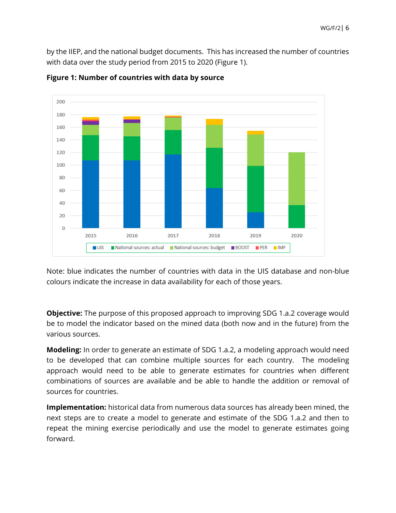by the IIEP, and the national budget documents. This has increased the number of countries with data over the study period from 2015 to 2020 (Figure 1).





Note: blue indicates the number of countries with data in the UIS database and non-blue colours indicate the increase in data availability for each of those years.

**Objective:** The purpose of this proposed approach to improving SDG 1.a.2 coverage would be to model the indicator based on the mined data (both now and in the future) from the various sources.

**Modeling:** In order to generate an estimate of SDG 1.a.2, a modeling approach would need to be developed that can combine multiple sources for each country. The modeling approach would need to be able to generate estimates for countries when different combinations of sources are available and be able to handle the addition or removal of sources for countries.

**Implementation:** historical data from numerous data sources has already been mined, the next steps are to create a model to generate and estimate of the SDG 1.a.2 and then to repeat the mining exercise periodically and use the model to generate estimates going forward.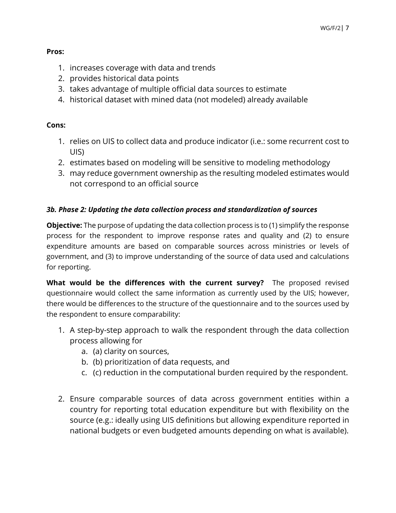# **Pros:**

- 1. increases coverage with data and trends
- 2. provides historical data points
- 3. takes advantage of multiple official data sources to estimate
- 4. historical dataset with mined data (not modeled) already available

# **Cons:**

- 1. relies on UIS to collect data and produce indicator (i.e.: some recurrent cost to UIS)
- 2. estimates based on modeling will be sensitive to modeling methodology
- 3. may reduce government ownership as the resulting modeled estimates would not correspond to an official source

# *3b. Phase 2: Updating the data collection process and standardization of sources*

**Objective:** The purpose of updating the data collection process is to (1) simplify the response process for the respondent to improve response rates and quality and (2) to ensure expenditure amounts are based on comparable sources across ministries or levels of government, and (3) to improve understanding of the source of data used and calculations for reporting.

**What would be the differences with the current survey?** The proposed revised questionnaire would collect the same information as currently used by the UIS; however, there would be differences to the structure of the questionnaire and to the sources used by the respondent to ensure comparability:

- 1. A step-by-step approach to walk the respondent through the data collection process allowing for
	- a. (a) clarity on sources,
	- b. (b) prioritization of data requests, and
	- c. (c) reduction in the computational burden required by the respondent.
- 2. Ensure comparable sources of data across government entities within a country for reporting total education expenditure but with flexibility on the source (e.g.: ideally using UIS definitions but allowing expenditure reported in national budgets or even budgeted amounts depending on what is available).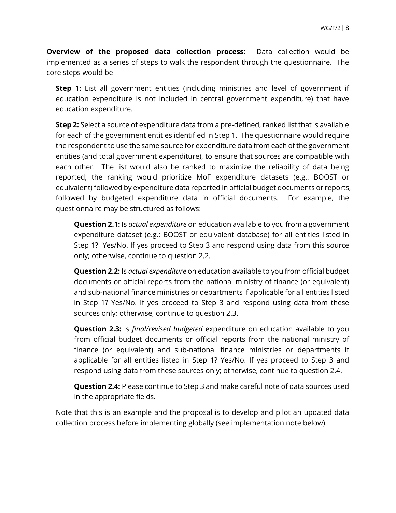**Overview of the proposed data collection process:** Data collection would be implemented as a series of steps to walk the respondent through the questionnaire. The core steps would be

**Step 1:** List all government entities (including ministries and level of government if education expenditure is not included in central government expenditure) that have education expenditure.

**Step 2:** Select a source of expenditure data from a pre-defined, ranked list that is available for each of the government entities identified in Step 1. The questionnaire would require the respondent to use the same source for expenditure data from each of the government entities (and total government expenditure), to ensure that sources are compatible with each other. The list would also be ranked to maximize the reliability of data being reported; the ranking would prioritize MoF expenditure datasets (e.g.: BOOST or equivalent) followed by expenditure data reported in official budget documents or reports, followed by budgeted expenditure data in official documents. For example, the questionnaire may be structured as follows:

**Question 2.1:** Is *actual expenditure* on education available to you from a government expenditure dataset (e.g.: BOOST or equivalent database) for all entities listed in Step 1? Yes/No. If yes proceed to Step 3 and respond using data from this source only; otherwise, continue to question 2.2.

**Question 2.2:** Is *actual expenditure* on education available to you from official budget documents or official reports from the national ministry of finance (or equivalent) and sub-national finance ministries or departments if applicable for all entities listed in Step 1? Yes/No. If yes proceed to Step 3 and respond using data from these sources only; otherwise, continue to question 2.3.

**Question 2.3:** Is *final/revised budgeted* expenditure on education available to you from official budget documents or official reports from the national ministry of finance (or equivalent) and sub-national finance ministries or departments if applicable for all entities listed in Step 1? Yes/No. If yes proceed to Step 3 and respond using data from these sources only; otherwise, continue to question 2.4.

**Question 2.4:** Please continue to Step 3 and make careful note of data sources used in the appropriate fields.

Note that this is an example and the proposal is to develop and pilot an updated data collection process before implementing globally (see implementation note below).